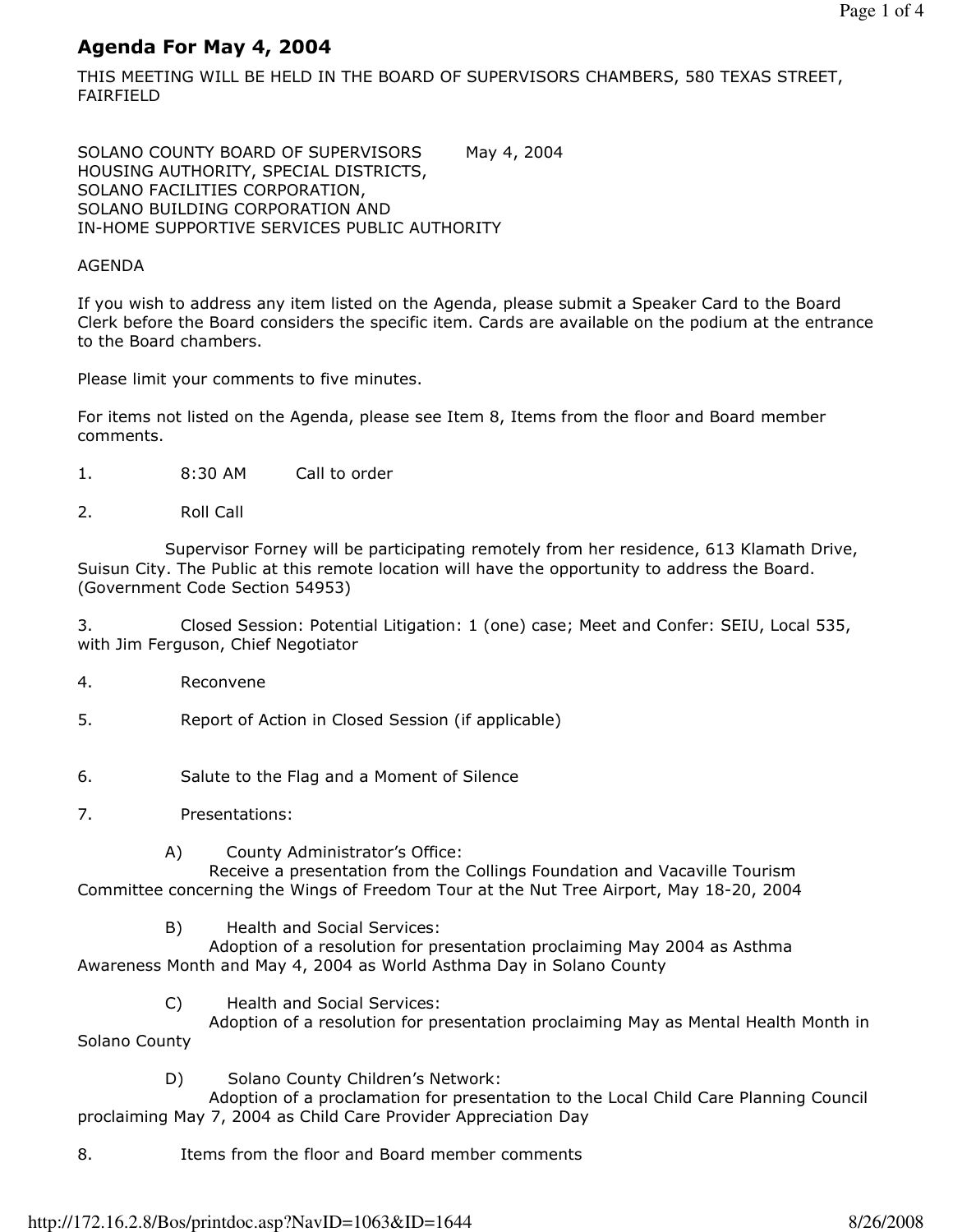# Agenda For May 4, 2004

THIS MEETING WILL BE HELD IN THE BOARD OF SUPERVISORS CHAMBERS, 580 TEXAS STREET, FAIRFIELD

SOLANO COUNTY BOARD OF SUPERVISORS May 4, 2004 HOUSING AUTHORITY, SPECIAL DISTRICTS, SOLANO FACILITIES CORPORATION, SOLANO BUILDING CORPORATION AND IN-HOME SUPPORTIVE SERVICES PUBLIC AUTHORITY

# AGENDA

If you wish to address any item listed on the Agenda, please submit a Speaker Card to the Board Clerk before the Board considers the specific item. Cards are available on the podium at the entrance to the Board chambers.

Please limit your comments to five minutes.

For items not listed on the Agenda, please see Item 8, Items from the floor and Board member comments.

- 1. 8:30 AM Call to order
- 2. Roll Call

 Supervisor Forney will be participating remotely from her residence, 613 Klamath Drive, Suisun City. The Public at this remote location will have the opportunity to address the Board. (Government Code Section 54953)

3. Closed Session: Potential Litigation: 1 (one) case; Meet and Confer: SEIU, Local 535, with Jim Ferguson, Chief Negotiator

- 4. Reconvene
- 5. Report of Action in Closed Session (if applicable)
- 6. Salute to the Flag and a Moment of Silence
- 7. Presentations:
	- A) County Administrator's Office:

 Receive a presentation from the Collings Foundation and Vacaville Tourism Committee concerning the Wings of Freedom Tour at the Nut Tree Airport, May 18-20, 2004

B) Health and Social Services:

 Adoption of a resolution for presentation proclaiming May 2004 as Asthma Awareness Month and May 4, 2004 as World Asthma Day in Solano County

C) Health and Social Services:

 Adoption of a resolution for presentation proclaiming May as Mental Health Month in Solano County

D) Solano County Children's Network:

 Adoption of a proclamation for presentation to the Local Child Care Planning Council proclaiming May 7, 2004 as Child Care Provider Appreciation Day

8. Items from the floor and Board member comments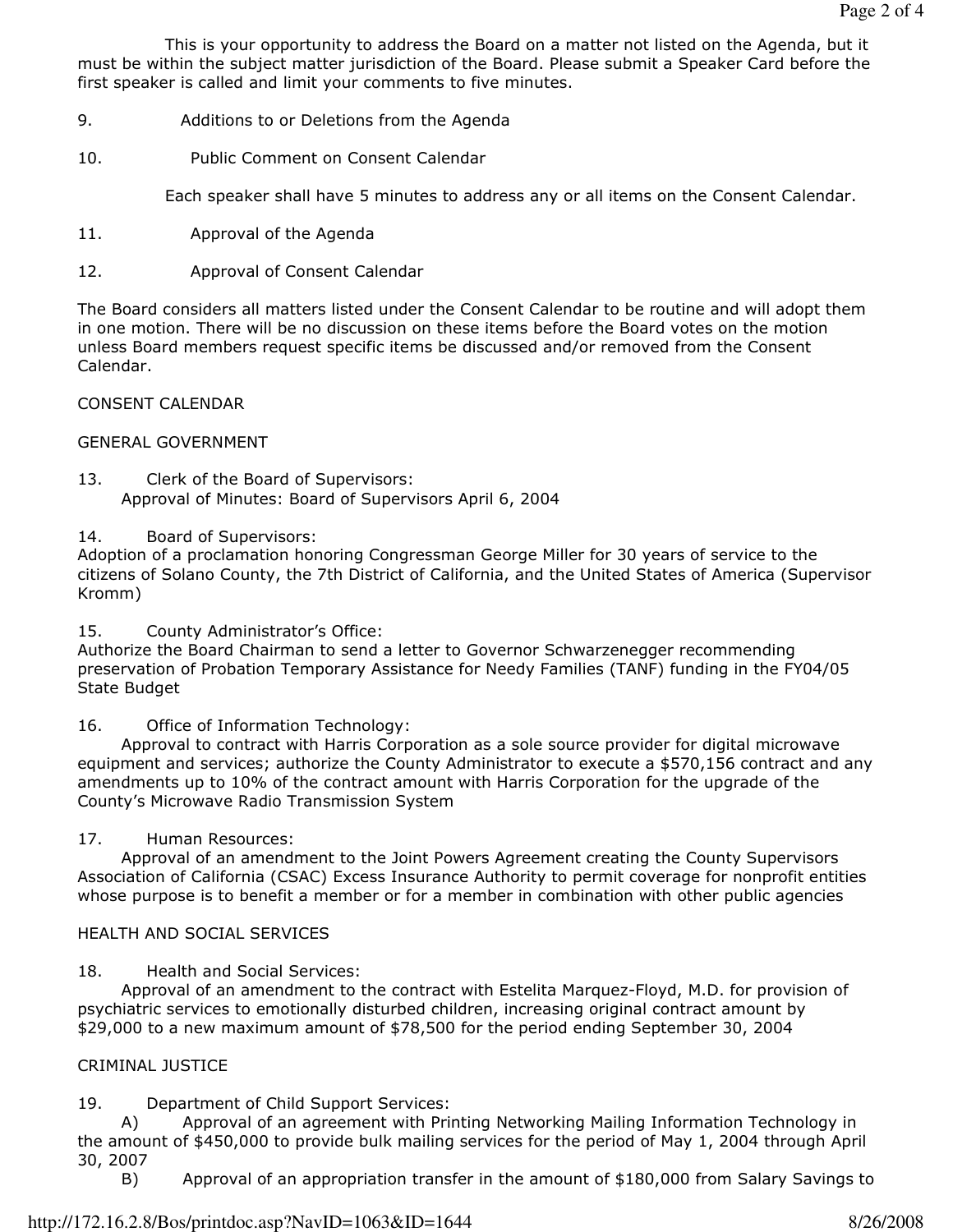This is your opportunity to address the Board on a matter not listed on the Agenda, but it must be within the subject matter jurisdiction of the Board. Please submit a Speaker Card before the first speaker is called and limit your comments to five minutes.

- 9. Additions to or Deletions from the Agenda
- 10. Public Comment on Consent Calendar

Each speaker shall have 5 minutes to address any or all items on the Consent Calendar.

- 11. Approval of the Agenda
- 12. Approval of Consent Calendar

The Board considers all matters listed under the Consent Calendar to be routine and will adopt them in one motion. There will be no discussion on these items before the Board votes on the motion unless Board members request specific items be discussed and/or removed from the Consent Calendar.

# CONSENT CALENDAR

# GENERAL GOVERNMENT

- 13. Clerk of the Board of Supervisors: Approval of Minutes: Board of Supervisors April 6, 2004
- 14. Board of Supervisors:

Adoption of a proclamation honoring Congressman George Miller for 30 years of service to the citizens of Solano County, the 7th District of California, and the United States of America (Supervisor Kromm)

15. County Administrator's Office:

Authorize the Board Chairman to send a letter to Governor Schwarzenegger recommending preservation of Probation Temporary Assistance for Needy Families (TANF) funding in the FY04/05 State Budget

16. Office of Information Technology:

 Approval to contract with Harris Corporation as a sole source provider for digital microwave equipment and services; authorize the County Administrator to execute a \$570,156 contract and any amendments up to 10% of the contract amount with Harris Corporation for the upgrade of the County's Microwave Radio Transmission System

# 17. Human Resources:

 Approval of an amendment to the Joint Powers Agreement creating the County Supervisors Association of California (CSAC) Excess Insurance Authority to permit coverage for nonprofit entities whose purpose is to benefit a member or for a member in combination with other public agencies

# HEALTH AND SOCIAL SERVICES

# 18. Health and Social Services:

 Approval of an amendment to the contract with Estelita Marquez-Floyd, M.D. for provision of psychiatric services to emotionally disturbed children, increasing original contract amount by \$29,000 to a new maximum amount of \$78,500 for the period ending September 30, 2004

# CRIMINAL JUSTICE

# 19. Department of Child Support Services:

 A) Approval of an agreement with Printing Networking Mailing Information Technology in the amount of \$450,000 to provide bulk mailing services for the period of May 1, 2004 through April 30, 2007

B) Approval of an appropriation transfer in the amount of \$180,000 from Salary Savings to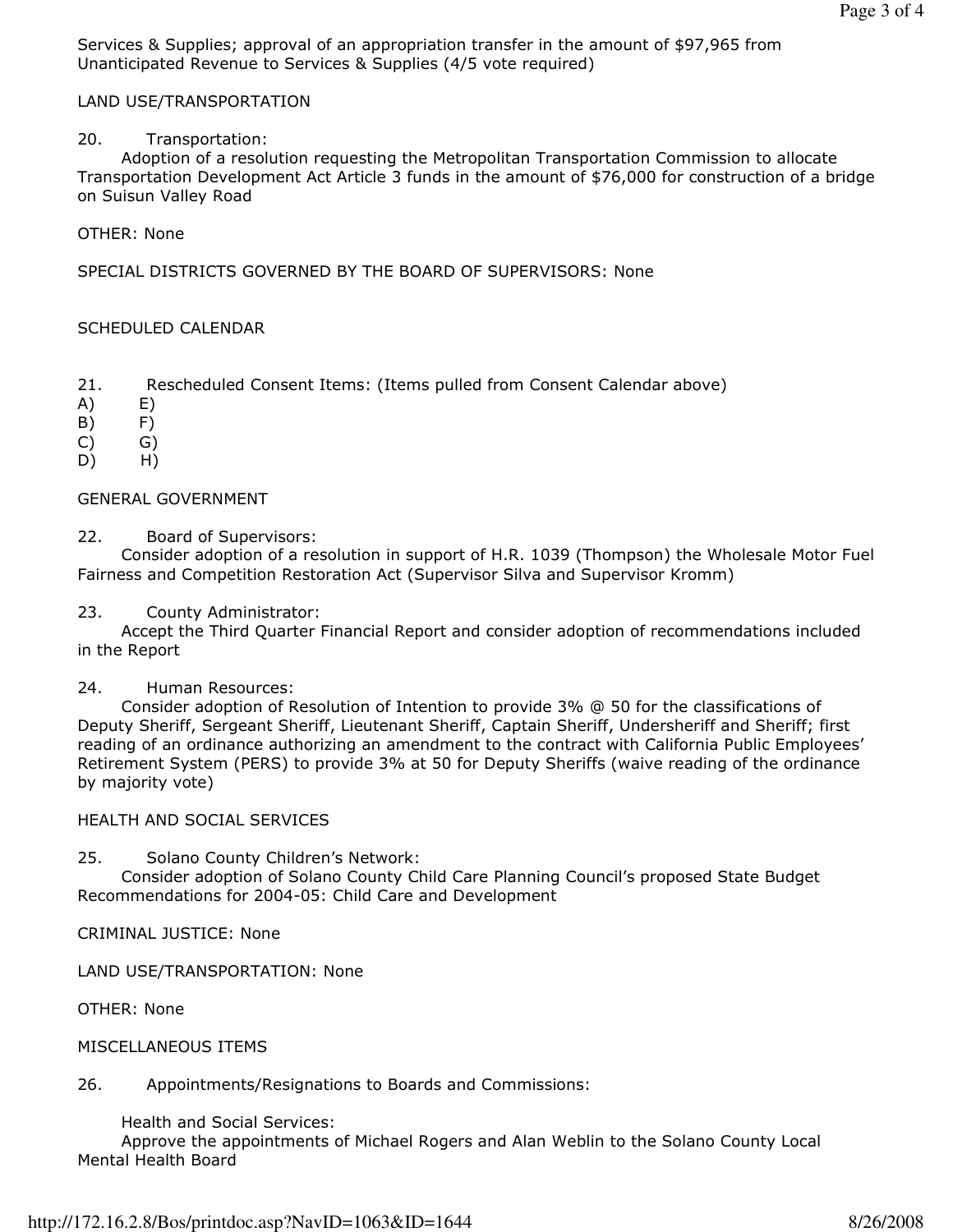Services & Supplies; approval of an appropriation transfer in the amount of \$97,965 from Unanticipated Revenue to Services & Supplies (4/5 vote required)

# LAND USE/TRANSPORTATION

### 20. Transportation:

 Adoption of a resolution requesting the Metropolitan Transportation Commission to allocate Transportation Development Act Article 3 funds in the amount of \$76,000 for construction of a bridge on Suisun Valley Road

#### OTHER: None

SPECIAL DISTRICTS GOVERNED BY THE BOARD OF SUPERVISORS: None

# SCHEDULED CALENDAR

- 21. Rescheduled Consent Items: (Items pulled from Consent Calendar above)
- A) E)
- B) F)
- C) G)
- D) H)

# GENERAL GOVERNMENT

22. Board of Supervisors:

 Consider adoption of a resolution in support of H.R. 1039 (Thompson) the Wholesale Motor Fuel Fairness and Competition Restoration Act (Supervisor Silva and Supervisor Kromm)

#### 23. County Administrator:

 Accept the Third Quarter Financial Report and consider adoption of recommendations included in the Report

#### 24. Human Resources:

 Consider adoption of Resolution of Intention to provide 3% @ 50 for the classifications of Deputy Sheriff, Sergeant Sheriff, Lieutenant Sheriff, Captain Sheriff, Undersheriff and Sheriff; first reading of an ordinance authorizing an amendment to the contract with California Public Employees' Retirement System (PERS) to provide 3% at 50 for Deputy Sheriffs (waive reading of the ordinance by majority vote)

#### HEALTH AND SOCIAL SERVICES

25. Solano County Children's Network:

 Consider adoption of Solano County Child Care Planning Council's proposed State Budget Recommendations for 2004-05: Child Care and Development

CRIMINAL JUSTICE: None

#### LAND USE/TRANSPORTATION: None

OTHER: None

#### MISCELLANEOUS ITEMS

# 26. Appointments/Resignations to Boards and Commissions:

Health and Social Services:

 Approve the appointments of Michael Rogers and Alan Weblin to the Solano County Local Mental Health Board